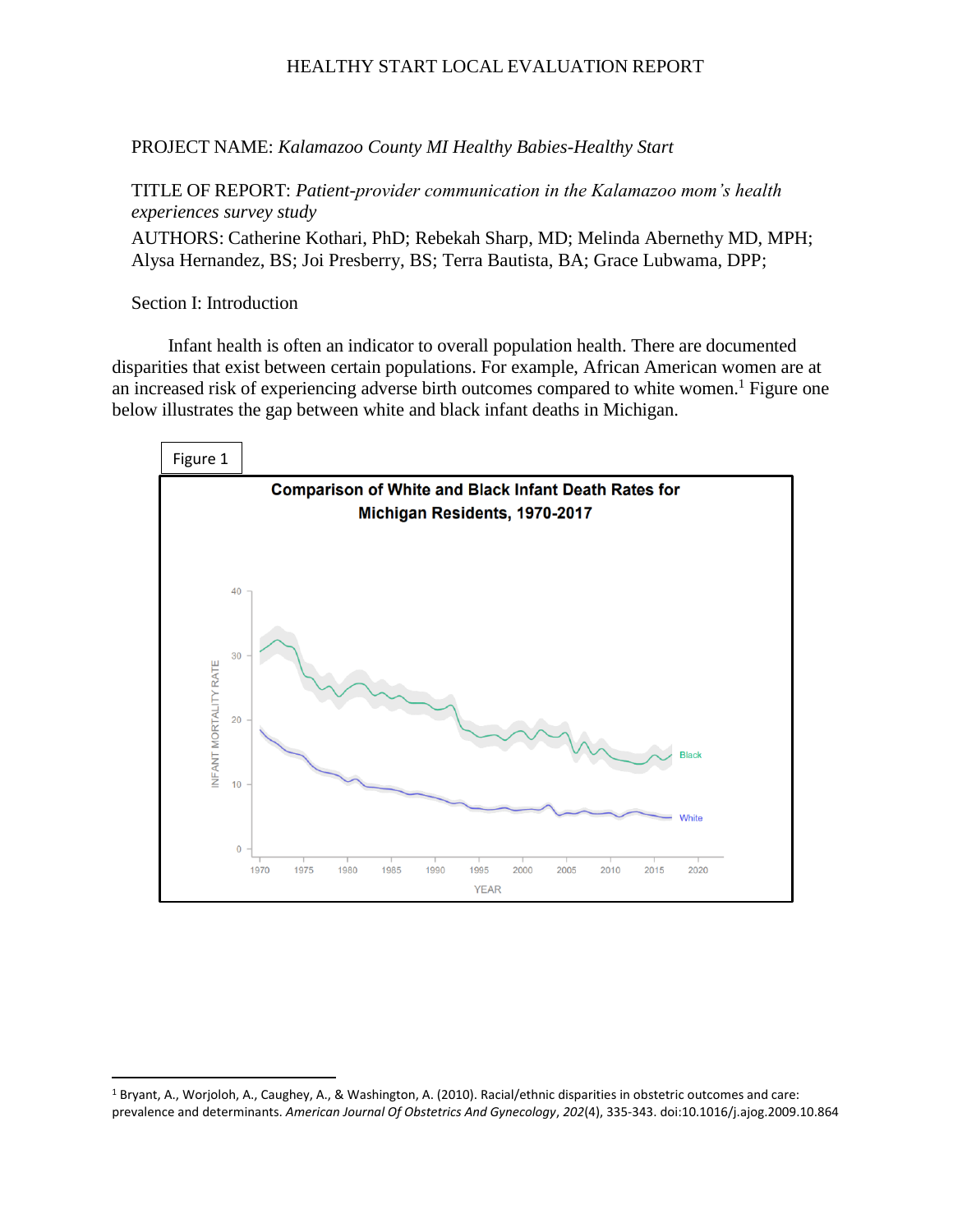PROJECT NAME: *Kalamazoo County MI Healthy Babies-Healthy Start*

TITLE OF REPORT: *Patient-provider communication in the Kalamazoo mom's health experiences survey study*

AUTHORS: Catherine Kothari, PhD; Rebekah Sharp, MD; Melinda Abernethy MD, MPH; Alysa Hernandez, BS; Joi Presberry, BS; Terra Bautista, BA; Grace Lubwama, DPP;

Section I: Introduction

Infant health is often an indicator to overall population health. There are documented disparities that exist between certain populations. For example, African American women are at an increased risk of experiencing adverse birth outcomes compared to white women.<sup>1</sup> Figure one below illustrates the gap between white and black infant deaths in Michigan.



 $\overline{a}$ <sup>1</sup> Bryant, A., Worjoloh, A., Caughey, A., & Washington, A. (2010). Racial/ethnic disparities in obstetric outcomes and care: prevalence and determinants. *American Journal Of Obstetrics And Gynecology*, *202*(4), 335-343. doi:10.1016/j.ajog.2009.10.864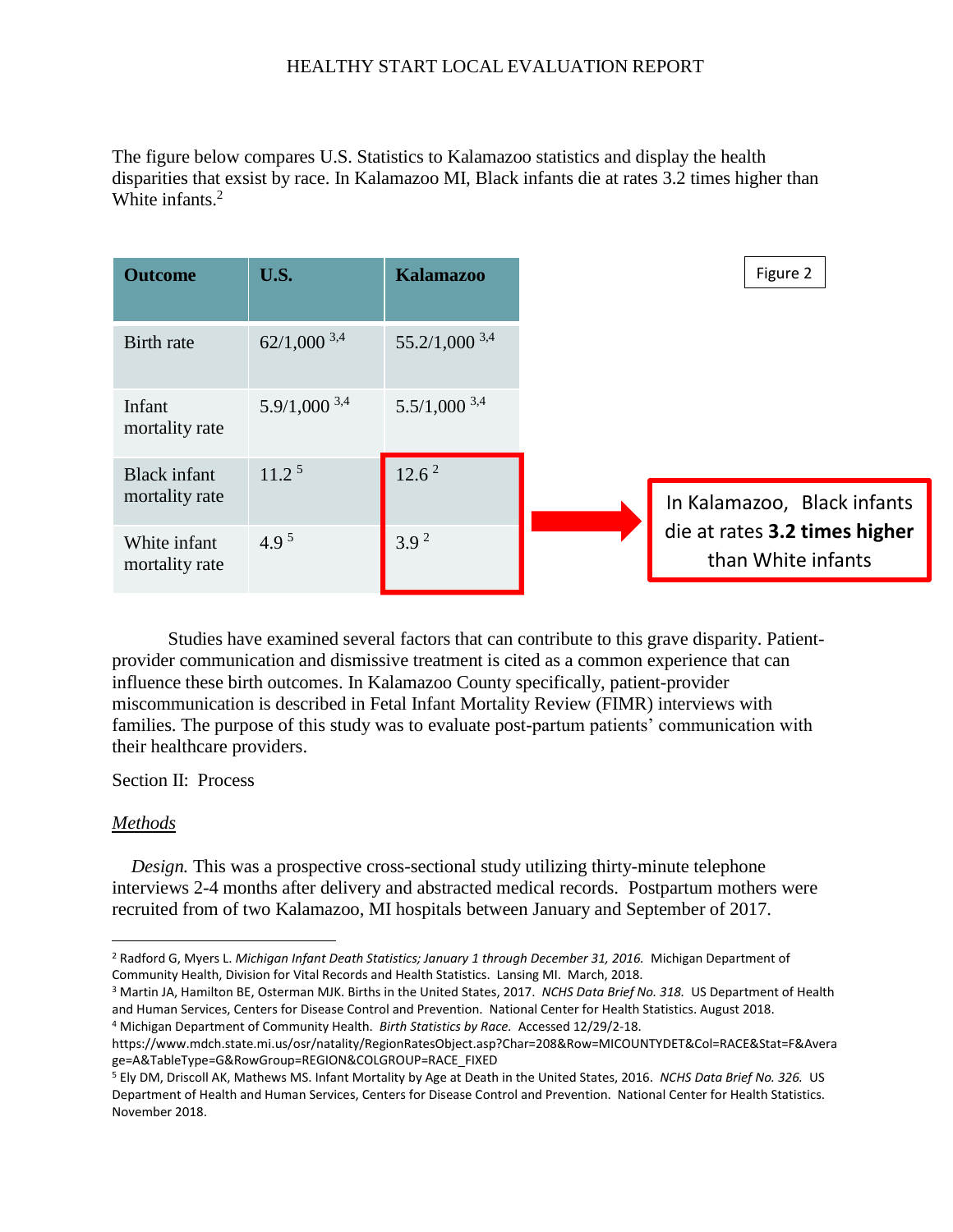The figure below compares U.S. Statistics to Kalamazoo statistics and display the health disparities that exsist by race. In Kalamazoo MI, Black infants die at rates 3.2 times higher than White infants. 2

| <b>Outcome</b>                        | U.S.              | <b>Kalamazoo</b>   |
|---------------------------------------|-------------------|--------------------|
| Birth rate                            | $62/1,000^{3,4}$  | $55.2/1,000^{3,4}$ |
| Infant<br>mortality rate              | $5.9/1,000^{3,4}$ | $5.5/1,000^{3,4}$  |
| <b>Black</b> infant<br>mortality rate | 11.2 <sup>5</sup> | 12.6 <sup>2</sup>  |
| White infant<br>mortality rate        | 4.9 <sup>5</sup>  | 3.9 <sup>2</sup>   |

Studies have examined several factors that can contribute to this grave disparity. Patientprovider communication and dismissive treatment is cited as a common experience that can influence these birth outcomes. In Kalamazoo County specifically, patient-provider miscommunication is described in Fetal Infant Mortality Review (FIMR) interviews with families. The purpose of this study was to evaluate post-partum patients' communication with their healthcare providers.

Section II: Process

#### *Methods*

 $\overline{\phantom{a}}$ 

*Design.* This was a prospective cross-sectional study utilizing thirty-minute telephone interviews 2-4 months after delivery and abstracted medical records. Postpartum mothers were recruited from of two Kalamazoo, MI hospitals between January and September of 2017.

<sup>3</sup> Martin JA, Hamilton BE, Osterman MJK. Births in the United States, 2017. *NCHS Data Brief No. 318.* US Department of Health and Human Services, Centers for Disease Control and Prevention. National Center for Health Statistics. August 2018. <sup>4</sup> Michigan Department of Community Health. *Birth Statistics by Race.* Accessed 12/29/2-18.

<sup>2</sup> Radford G, Myers L. *Michigan Infant Death Statistics; January 1 through December 31, 2016.* Michigan Department of Community Health, Division for Vital Records and Health Statistics. Lansing MI. March, 2018.

https://www.mdch.state.mi.us/osr/natality/RegionRatesObject.asp?Char=208&Row=MICOUNTYDET&Col=RACE&Stat=F&Avera ge=A&TableType=G&RowGroup=REGION&COLGROUP=RACE\_FIXED

<sup>5</sup> Ely DM, Driscoll AK, Mathews MS. Infant Mortality by Age at Death in the United States, 2016. *NCHS Data Brief No. 326.* US Department of Health and Human Services, Centers for Disease Control and Prevention. National Center for Health Statistics. November 2018.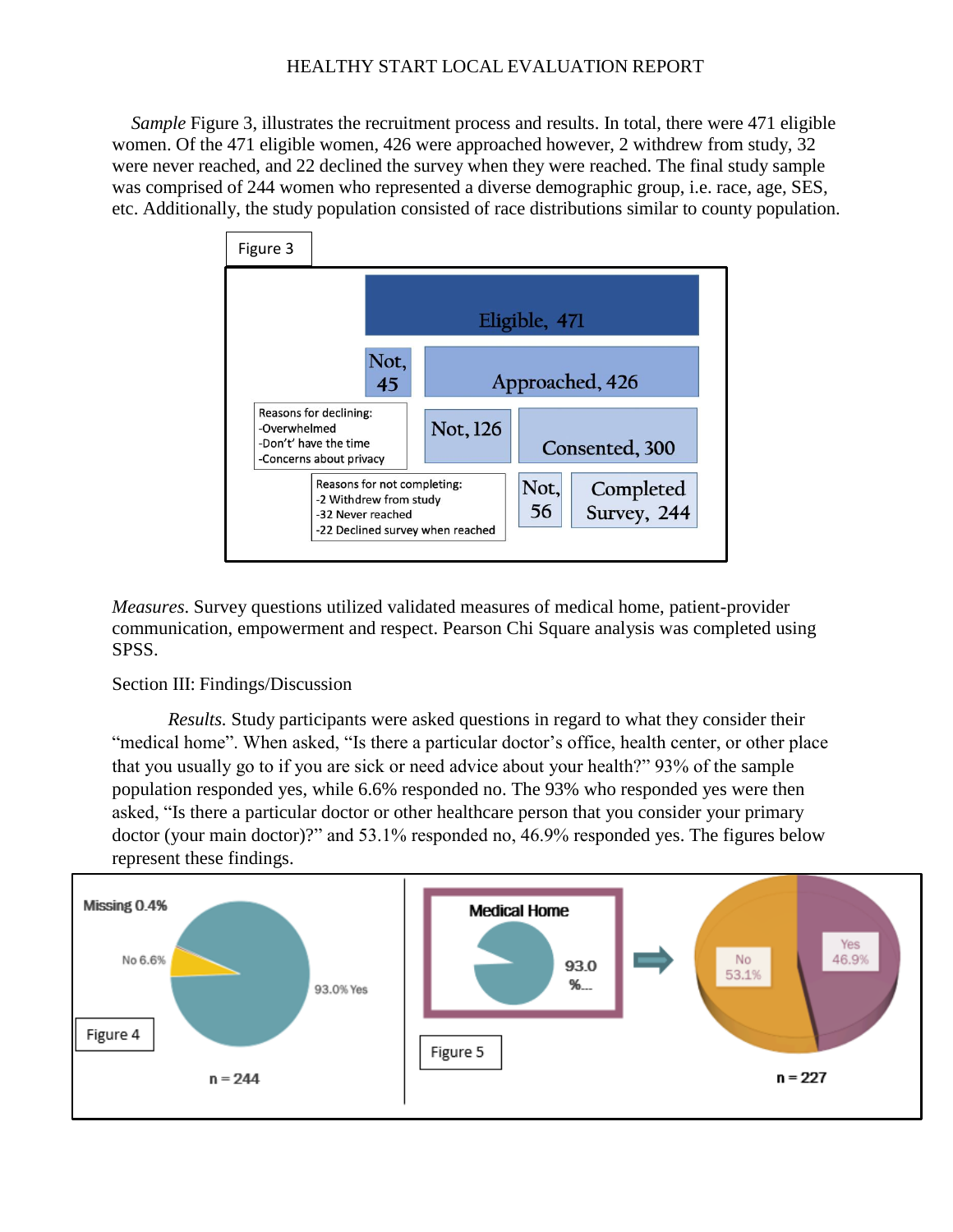*Sample* Figure 3, illustrates the recruitment process and results. In total, there were 471 eligible women. Of the 471 eligible women, 426 were approached however, 2 withdrew from study, 32 were never reached, and 22 declined the survey when they were reached. The final study sample was comprised of 244 women who represented a diverse demographic group, i.e. race, age, SES, etc. Additionally, the study population consisted of race distributions similar to county population.



*Measures*. Survey questions utilized validated measures of medical home, patient-provider communication, empowerment and respect. Pearson Chi Square analysis was completed using SPSS.

## Section III: Findings/Discussion

*Results.* Study participants were asked questions in regard to what they consider their "medical home". When asked, "Is there a particular doctor's office, health center, or other place that you usually go to if you are sick or need advice about your health?" 93% of the sample population responded yes, while 6.6% responded no. The 93% who responded yes were then asked, "Is there a particular doctor or other healthcare person that you consider your primary doctor (your main doctor)?" and 53.1% responded no, 46.9% responded yes. The figures below represent these findings.

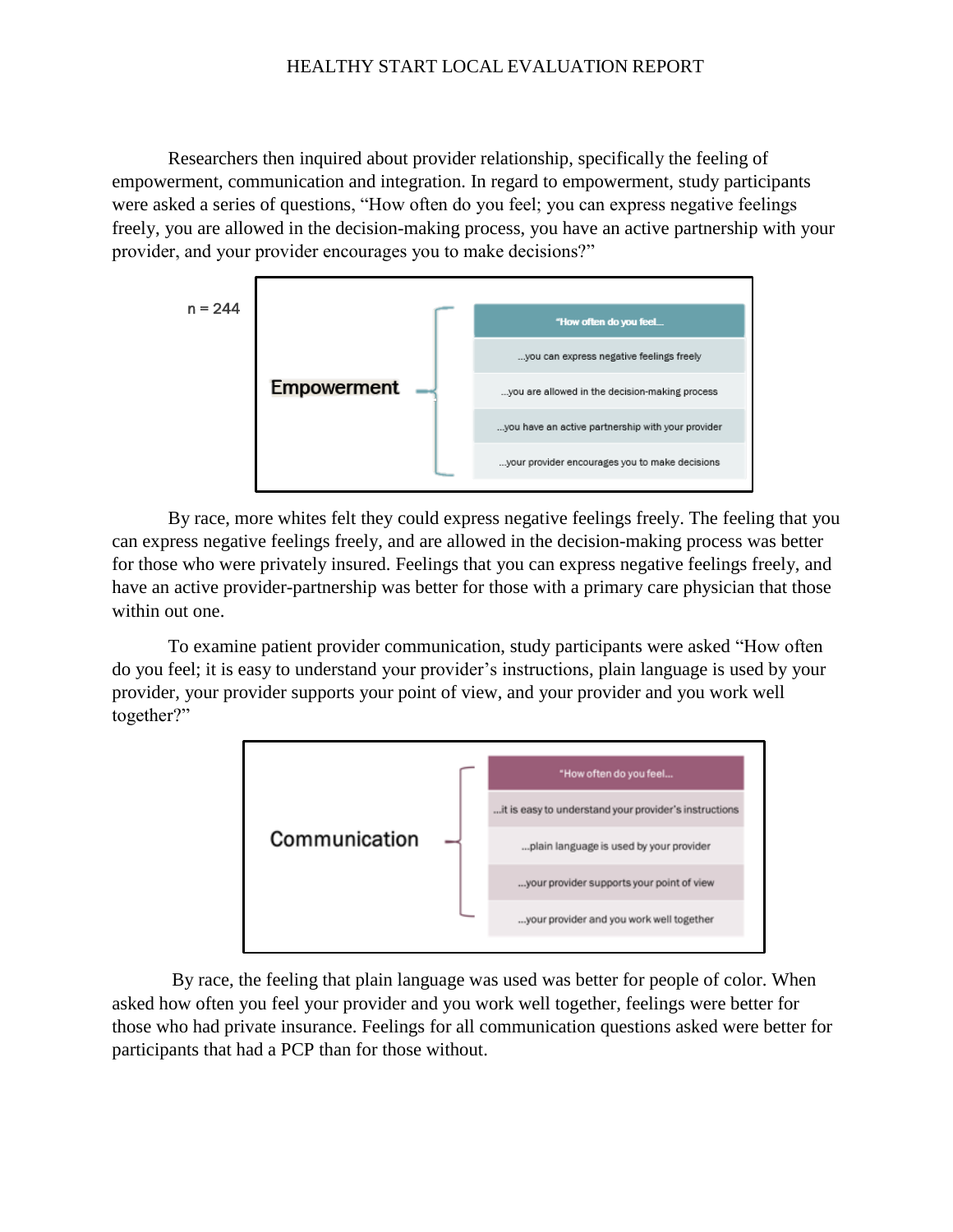Researchers then inquired about provider relationship, specifically the feeling of empowerment, communication and integration. In regard to empowerment, study participants were asked a series of questions, "How often do you feel; you can express negative feelings freely, you are allowed in the decision-making process, you have an active partnership with your provider, and your provider encourages you to make decisions?"



By race, more whites felt they could express negative feelings freely. The feeling that you can express negative feelings freely, and are allowed in the decision-making process was better for those who were privately insured. Feelings that you can express negative feelings freely, and have an active provider-partnership was better for those with a primary care physician that those within out one.

To examine patient provider communication, study participants were asked "How often do you feel; it is easy to understand your provider's instructions, plain language is used by your provider, your provider supports your point of view, and your provider and you work well together?"



By race, the feeling that plain language was used was better for people of color. When asked how often you feel your provider and you work well together, feelings were better for those who had private insurance. Feelings for all communication questions asked were better for participants that had a PCP than for those without.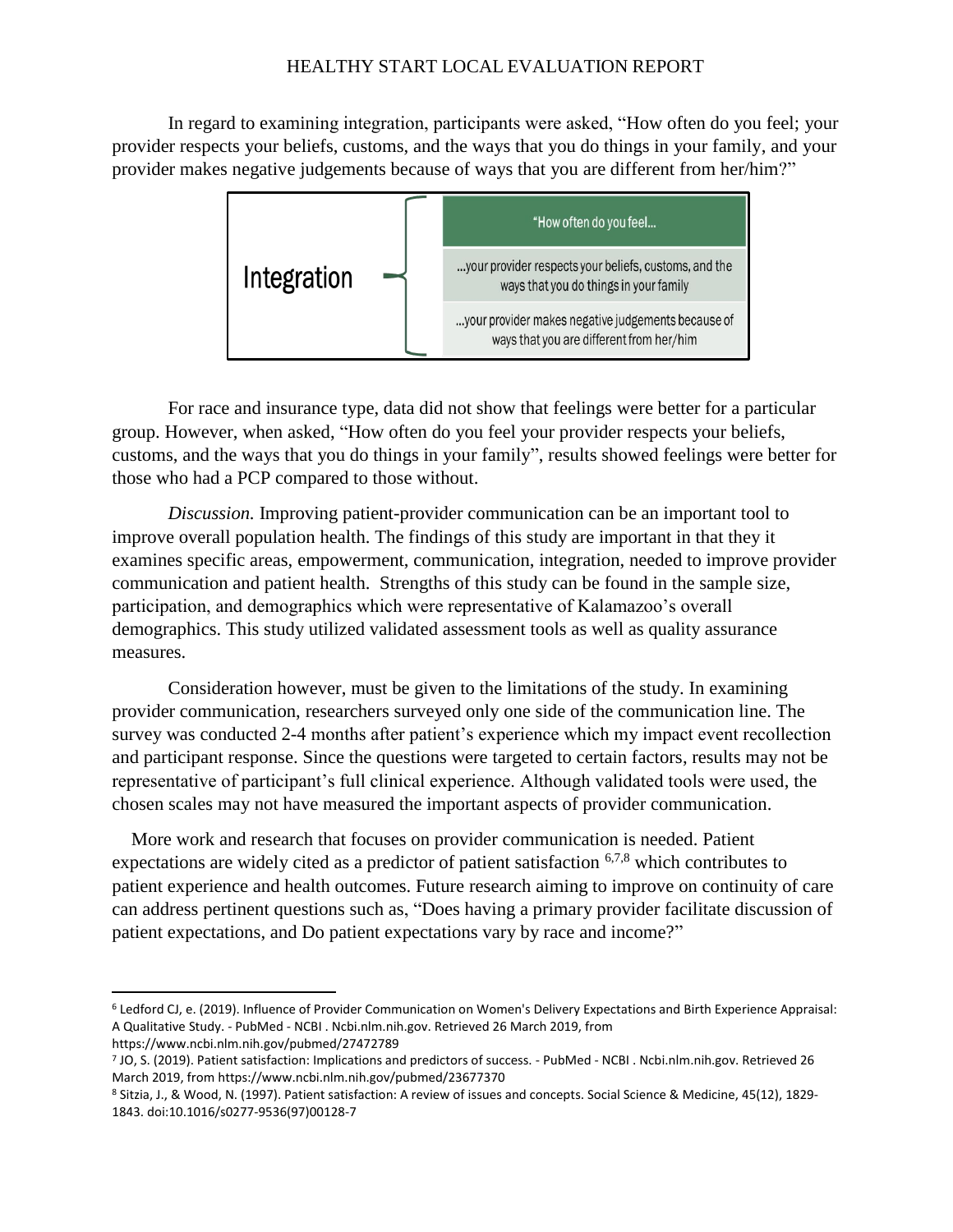In regard to examining integration, participants were asked, "How often do you feel; your provider respects your beliefs, customs, and the ways that you do things in your family, and your provider makes negative judgements because of ways that you are different from her/him?"



For race and insurance type, data did not show that feelings were better for a particular group. However, when asked, "How often do you feel your provider respects your beliefs, customs, and the ways that you do things in your family", results showed feelings were better for those who had a PCP compared to those without.

*Discussion.* Improving patient-provider communication can be an important tool to improve overall population health. The findings of this study are important in that they it examines specific areas, empowerment, communication, integration, needed to improve provider communication and patient health. Strengths of this study can be found in the sample size, participation, and demographics which were representative of Kalamazoo's overall demographics. This study utilized validated assessment tools as well as quality assurance measures.

Consideration however, must be given to the limitations of the study. In examining provider communication, researchers surveyed only one side of the communication line. The survey was conducted 2-4 months after patient's experience which my impact event recollection and participant response. Since the questions were targeted to certain factors, results may not be representative of participant's full clinical experience. Although validated tools were used, the chosen scales may not have measured the important aspects of provider communication.

More work and research that focuses on provider communication is needed. Patient expectations are widely cited as a predictor of patient satisfaction 6,7,8 which contributes to patient experience and health outcomes. Future research aiming to improve on continuity of care can address pertinent questions such as, "Does having a primary provider facilitate discussion of patient expectations, and Do patient expectations vary by race and income?"

 $\overline{\phantom{a}}$ 

<sup>6</sup> Ledford CJ, e. (2019). Influence of Provider Communication on Women's Delivery Expectations and Birth Experience Appraisal: A Qualitative Study. - PubMed - NCBI . Ncbi.nlm.nih.gov. Retrieved 26 March 2019, from https://www.ncbi.nlm.nih.gov/pubmed/27472789

<sup>7</sup> JO, S. (2019). Patient satisfaction: Implications and predictors of success. - PubMed - NCBI . Ncbi.nlm.nih.gov. Retrieved 26 March 2019, from https://www.ncbi.nlm.nih.gov/pubmed/23677370

<sup>8</sup> Sitzia, J., & Wood, N. (1997). Patient satisfaction: A review of issues and concepts. Social Science & Medicine, 45(12), 1829- 1843. doi:10.1016/s0277-9536(97)00128-7